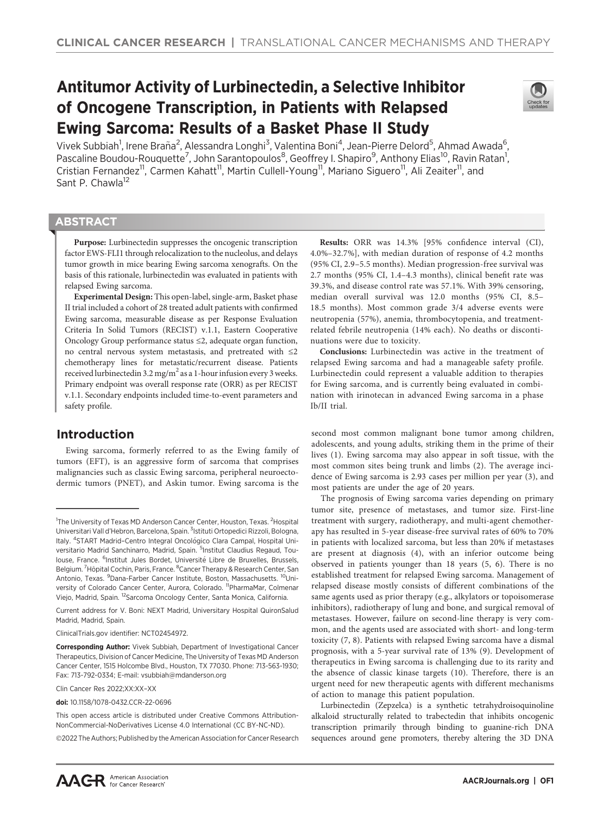# Antitumor Activity of Lurbinectedin, a Selective Inhibitor of Oncogene Transcription, in Patients with Relapsed Ewing Sarcoma: Results of a Basket Phase II Study



Vivek Subbiah<sup>1</sup>, Irene Braña<sup>2</sup>, Alessandra Longhi<sup>3</sup>, Valentina Boni<sup>4</sup>, Jean-Pierre Delord<sup>5</sup>, Ahmad Awada<sup>6</sup>, Pascaline Boudou-Rouquette<sup>7</sup>, John Sarantopoulos<sup>8</sup>, Geoffrey I. Shapiro<sup>9</sup>, Anthony Elias<sup>10</sup>, Ravin Ratan<sup>1</sup>, Cristian Fernandez<sup>11</sup>, Carmen Kahatt<sup>11</sup>, Martin Cullell-Young<sup>11</sup>, Mariano Siguero<sup>11</sup>, Ali Zeaiter<sup>11</sup>, and Sant P. Chawla<sup>12</sup>

# **ABSTRACT**

◥

Purpose: Lurbinectedin suppresses the oncogenic transcription factor EWS-FLI1 through relocalization to the nucleolus, and delays tumor growth in mice bearing Ewing sarcoma xenografts. On the basis of this rationale, lurbinectedin was evaluated in patients with relapsed Ewing sarcoma.

Experimental Design: This open-label, single-arm, Basket phase II trial included a cohort of 28 treated adult patients with confirmed Ewing sarcoma, measurable disease as per Response Evaluation Criteria In Solid Tumors (RECIST) v.1.1, Eastern Cooperative Oncology Group performance status ≤2, adequate organ function, no central nervous system metastasis, and pretreated with ≤2 chemotherapy lines for metastatic/recurrent disease. Patients received lurbinectedin 3.2 mg/m<sup>2</sup> as a 1-hour infusion every 3 weeks. Primary endpoint was overall response rate (ORR) as per RECIST v.1.1. Secondary endpoints included time-to-event parameters and safety profile.

# Introduction

Ewing sarcoma, formerly referred to as the Ewing family of tumors (EFT), is an aggressive form of sarcoma that comprises malignancies such as classic Ewing sarcoma, peripheral neuroectodermic tumors (PNET), and Askin tumor. Ewing sarcoma is the

Current address for V. Boni: NEXT Madrid, Universitary Hospital QuironSalud Madrid, Madrid, Spain.

ClinicalTrials.gov identifier: NCT02454972.

Clin Cancer Res 2022;XX:XX–XX

doi: 10.1158/1078-0432.CCR-22-0696

2022 The Authors; Published by the American Association for Cancer Research

Results: ORR was 14.3% [95% confidence interval (CI), 4.0%–32.7%], with median duration of response of 4.2 months (95% CI, 2.9–5.5 months). Median progression-free survival was 2.7 months (95% CI, 1.4–4.3 months), clinical benefit rate was 39.3%, and disease control rate was 57.1%. With 39% censoring, median overall survival was 12.0 months (95% CI, 8.5– 18.5 months). Most common grade 3/4 adverse events were neutropenia (57%), anemia, thrombocytopenia, and treatmentrelated febrile neutropenia (14% each). No deaths or discontinuations were due to toxicity.

Conclusions: Lurbinectedin was active in the treatment of relapsed Ewing sarcoma and had a manageable safety profile. Lurbinectedin could represent a valuable addition to therapies for Ewing sarcoma, and is currently being evaluated in combination with irinotecan in advanced Ewing sarcoma in a phase Ib/II trial.

second most common malignant bone tumor among children, adolescents, and young adults, striking them in the prime of their lives (1). Ewing sarcoma may also appear in soft tissue, with the most common sites being trunk and limbs (2). The average incidence of Ewing sarcoma is 2.93 cases per million per year (3), and most patients are under the age of 20 years.

The prognosis of Ewing sarcoma varies depending on primary tumor site, presence of metastases, and tumor size. First-line treatment with surgery, radiotherapy, and multi-agent chemotherapy has resulted in 5-year disease-free survival rates of 60% to 70% in patients with localized sarcoma, but less than 20% if metastases are present at diagnosis (4), with an inferior outcome being observed in patients younger than 18 years (5, 6). There is no established treatment for relapsed Ewing sarcoma. Management of relapsed disease mostly consists of different combinations of the same agents used as prior therapy (e.g., alkylators or topoisomerase inhibitors), radiotherapy of lung and bone, and surgical removal of metastases. However, failure on second-line therapy is very common, and the agents used are associated with short- and long-term toxicity (7, 8). Patients with relapsed Ewing sarcoma have a dismal prognosis, with a 5-year survival rate of 13% (9). Development of therapeutics in Ewing sarcoma is challenging due to its rarity and the absence of classic kinase targets (10). Therefore, there is an urgent need for new therapeutic agents with different mechanisms of action to manage this patient population.

Lurbinectedin (Zepzelca) is a synthetic tetrahydroisoquinoline alkaloid structurally related to trabectedin that inhibits oncogenic transcription primarily through binding to guanine-rich DNA sequences around gene promoters, thereby altering the 3D DNA

<sup>&</sup>lt;sup>1</sup>The University of Texas MD Anderson Cancer Center, Houston, Texas. <sup>2</sup>Hospital Universitari Vall d'Hebron, Barcelona, Spain. <sup>3</sup>Istituti Ortopedici Rizzoli, Bologna, Italy. <sup>4</sup>START Madrid-Centro Integral Oncológico Clara Campal, Hospital Universitario Madrid Sanchinarro, Madrid, Spain. <sup>5</sup>Institut Claudius Regaud, Toulouse, France. <sup>6</sup>Institut Jules Bordet, Université Libre de Bruxelles, Brussels, Belgium. <sup>7</sup>Hôpital Cochin, Paris, France. <sup>8</sup> Cancer Therapy & Research Center, San Antonio, Texas. <sup>9</sup>Dana-Farber Cancer Institute, Boston, Massachusetts. <sup>10</sup>University of Colorado Cancer Center, Aurora, Colorado. <sup>11</sup>PharmaMar, Colmenar Viejo, Madrid, Spain. 12Sarcoma Oncology Center, Santa Monica, California.

Corresponding Author: Vivek Subbiah, Department of Investigational Cancer Therapeutics, Division of Cancer Medicine, The University of Texas MD Anderson Cancer Center, 1515 Holcombe Blvd., Houston, TX 77030. Phone: 713-563-1930; Fax: 713-792-0334; E-mail: vsubbiah@mdanderson.org

This open access article is distributed under Creative Commons Attribution-NonCommercial-NoDerivatives License 4.0 International (CC BY-NC-ND).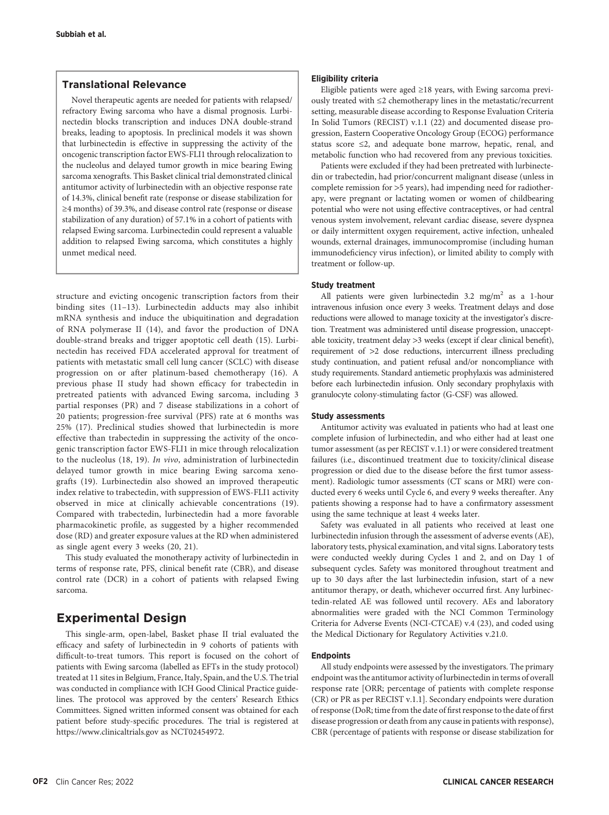# Translational Relevance

Novel therapeutic agents are needed for patients with relapsed/ refractory Ewing sarcoma who have a dismal prognosis. Lurbinectedin blocks transcription and induces DNA double-strand breaks, leading to apoptosis. In preclinical models it was shown that lurbinectedin is effective in suppressing the activity of the oncogenic transcription factor EWS-FLI1 through relocalization to the nucleolus and delayed tumor growth in mice bearing Ewing sarcoma xenografts. This Basket clinical trial demonstrated clinical antitumor activity of lurbinectedin with an objective response rate of 14.3%, clinical benefit rate (response or disease stabilization for ≥4 months) of 39.3%, and disease control rate (response or disease stabilization of any duration) of 57.1% in a cohort of patients with relapsed Ewing sarcoma. Lurbinectedin could represent a valuable addition to relapsed Ewing sarcoma, which constitutes a highly unmet medical need.

structure and evicting oncogenic transcription factors from their binding sites (11–13). Lurbinectedin adducts may also inhibit mRNA synthesis and induce the ubiquitination and degradation of RNA polymerase II (14), and favor the production of DNA double-strand breaks and trigger apoptotic cell death (15). Lurbinectedin has received FDA accelerated approval for treatment of patients with metastatic small cell lung cancer (SCLC) with disease progression on or after platinum-based chemotherapy (16). A previous phase II study had shown efficacy for trabectedin in pretreated patients with advanced Ewing sarcoma, including 3 partial responses (PR) and 7 disease stabilizations in a cohort of 20 patients; progression-free survival (PFS) rate at 6 months was 25% (17). Preclinical studies showed that lurbinectedin is more effective than trabectedin in suppressing the activity of the oncogenic transcription factor EWS-FLI1 in mice through relocalization to the nucleolus (18, 19). In vivo, administration of lurbinectedin delayed tumor growth in mice bearing Ewing sarcoma xenografts (19). Lurbinectedin also showed an improved therapeutic index relative to trabectedin, with suppression of EWS-FLI1 activity observed in mice at clinically achievable concentrations (19). Compared with trabectedin, lurbinectedin had a more favorable pharmacokinetic profile, as suggested by a higher recommended dose (RD) and greater exposure values at the RD when administered as single agent every 3 weeks (20, 21).

This study evaluated the monotherapy activity of lurbinectedin in terms of response rate, PFS, clinical benefit rate (CBR), and disease control rate (DCR) in a cohort of patients with relapsed Ewing sarcoma.

# Experimental Design

This single-arm, open-label, Basket phase II trial evaluated the efficacy and safety of lurbinectedin in 9 cohorts of patients with difficult-to-treat tumors. This report is focused on the cohort of patients with Ewing sarcoma (labelled as EFTs in the study protocol) treated at 11 sites in Belgium, France, Italy, Spain, and the U.S. The trial was conducted in compliance with ICH Good Clinical Practice guidelines. The protocol was approved by the centers' Research Ethics Committees. Signed written informed consent was obtained for each patient before study-specific procedures. The trial is registered at <https://www.clinicaltrials.gov> as NCT02454972.

## Eligibility criteria

Eligible patients were aged ≥18 years, with Ewing sarcoma previously treated with ≤2 chemotherapy lines in the metastatic/recurrent setting, measurable disease according to Response Evaluation Criteria In Solid Tumors (RECIST) v.1.1 (22) and documented disease progression, Eastern Cooperative Oncology Group (ECOG) performance status score ≤2, and adequate bone marrow, hepatic, renal, and metabolic function who had recovered from any previous toxicities.

Patients were excluded if they had been pretreated with lurbinectedin or trabectedin, had prior/concurrent malignant disease (unless in complete remission for >5 years), had impending need for radiotherapy, were pregnant or lactating women or women of childbearing potential who were not using effective contraceptives, or had central venous system involvement, relevant cardiac disease, severe dyspnea or daily intermittent oxygen requirement, active infection, unhealed wounds, external drainages, immunocompromise (including human immunodeficiency virus infection), or limited ability to comply with treatment or follow-up.

#### Study treatment

All patients were given lurbinectedin 3.2 mg/m<sup>2</sup> as a 1-hour intravenous infusion once every 3 weeks. Treatment delays and dose reductions were allowed to manage toxicity at the investigator's discretion. Treatment was administered until disease progression, unacceptable toxicity, treatment delay >3 weeks (except if clear clinical benefit), requirement of >2 dose reductions, intercurrent illness precluding study continuation, and patient refusal and/or noncompliance with study requirements. Standard antiemetic prophylaxis was administered before each lurbinectedin infusion. Only secondary prophylaxis with granulocyte colony-stimulating factor (G-CSF) was allowed.

## Study assessments

Antitumor activity was evaluated in patients who had at least one complete infusion of lurbinectedin, and who either had at least one tumor assessment (as per RECIST v.1.1) or were considered treatment failures (i.e., discontinued treatment due to toxicity/clinical disease progression or died due to the disease before the first tumor assessment). Radiologic tumor assessments (CT scans or MRI) were conducted every 6 weeks until Cycle 6, and every 9 weeks thereafter. Any patients showing a response had to have a confirmatory assessment using the same technique at least 4 weeks later.

Safety was evaluated in all patients who received at least one lurbinectedin infusion through the assessment of adverse events (AE), laboratory tests, physical examination, and vital signs. Laboratory tests were conducted weekly during Cycles 1 and 2, and on Day 1 of subsequent cycles. Safety was monitored throughout treatment and up to 30 days after the last lurbinectedin infusion, start of a new antitumor therapy, or death, whichever occurred first. Any lurbinectedin-related AE was followed until recovery. AEs and laboratory abnormalities were graded with the NCI Common Terminology Criteria for Adverse Events (NCI-CTCAE) v.4 (23), and coded using the Medical Dictionary for Regulatory Activities v.21.0.

# Endpoints

All study endpoints were assessed by the investigators. The primary endpoint was the antitumor activity of lurbinectedin in terms of overall response rate [ORR; percentage of patients with complete response (CR) or PR as per RECIST v.1.1]. Secondary endpoints were duration of response (DoR; time from the date of first response to the date of first disease progression or death from any cause in patients with response), CBR (percentage of patients with response or disease stabilization for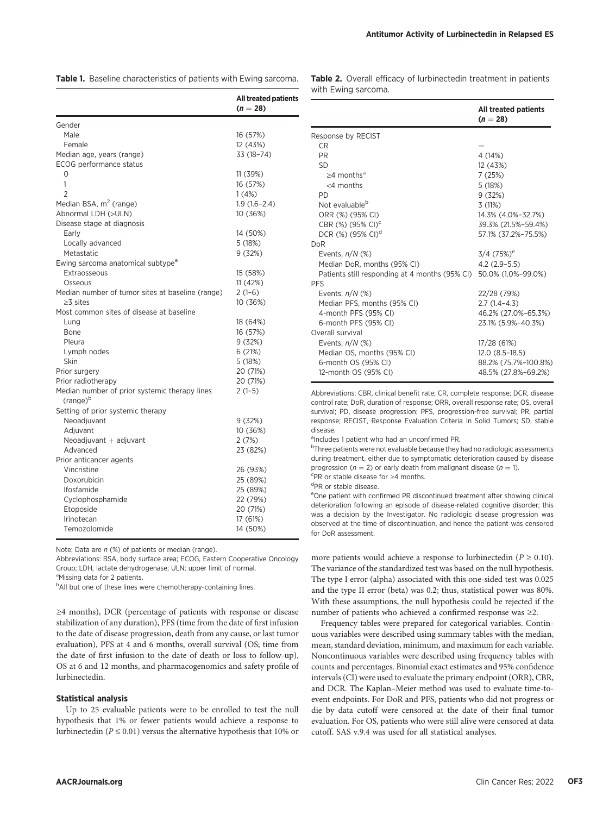|  |  | Table 1. Baseline characteristics of patients with Ewing sarcoma. |  |  |  |
|--|--|-------------------------------------------------------------------|--|--|--|
|--|--|-------------------------------------------------------------------|--|--|--|

|                                                  | <b>All treated patients</b><br>$(n = 28)$ |
|--------------------------------------------------|-------------------------------------------|
| Gender                                           |                                           |
| Male                                             | 16 (57%)                                  |
| Female                                           | 12 (43%)                                  |
| Median age, years (range)                        | 33 (18-74)                                |
| <b>ECOG</b> performance status                   |                                           |
| 0                                                | 11 (39%)                                  |
| 1                                                | 16 (57%)                                  |
| $\overline{2}$                                   | 1(4%)                                     |
| Median BSA, m <sup>2</sup> (range)               | $1.9(1.6-2.4)$                            |
| Abnormal LDH (>ULN)                              | 10 (36%)                                  |
| Disease stage at diagnosis                       |                                           |
| Early                                            | 14 (50%)                                  |
| Locally advanced                                 | 5 (18%)                                   |
| Metastatic                                       | 9 (32%)                                   |
| Ewing sarcoma anatomical subtype <sup>a</sup>    |                                           |
| Extraosseous                                     | 15 (58%)                                  |
| Osseous                                          | 11(42%)                                   |
| Median number of tumor sites at baseline (range) | $2(1-6)$                                  |
| $>3$ sites                                       | 10 (36%)                                  |
| Most common sites of disease at baseline         |                                           |
| Lung                                             | 18 (64%)                                  |
| <b>Bone</b>                                      | 16 (57%)                                  |
| Pleura                                           | 9(32%)                                    |
| Lymph nodes                                      | 6(21%)                                    |
| Skin                                             | 5 (18%)                                   |
| Prior surgery                                    | 20 (71%)                                  |
| Prior radiotherapy                               | 20 (71%)                                  |
| Median number of prior systemic therapy lines    | $2(1-5)$                                  |
| (range) <sup>b</sup>                             |                                           |
| Setting of prior systemic therapy                |                                           |
| Neoadjuvant                                      | 9 (32%)                                   |
| Adjuvant                                         | 10 (36%)                                  |
| Neoadjuvant $+$ adjuvant                         | 2 (7%)                                    |
| Advanced                                         | 23 (82%)                                  |
| Prior anticancer agents                          |                                           |
| Vincristine                                      | 26 (93%)                                  |
| Doxorubicin                                      | 25 (89%)                                  |
| <b>Ifosfamide</b>                                | 25 (89%)                                  |
| Cyclophosphamide                                 | 22 (79%)                                  |
| Etoposide                                        | 20 (71%)                                  |
| Irinotecan                                       | 17 (61%)                                  |
| Temozolomide                                     | 14 (50%)                                  |

Note: Data are  $n$  (%) of patients or median (range).

Abbreviations: BSA, body surface area; ECOG, Eastern Cooperative Oncology Group; LDH, lactate dehydrogenase; ULN; upper limit of normal.

<sup>a</sup>Missing data for 2 patients.

<sup>b</sup>All but one of these lines were chemotherapy-containing lines.

≥4 months), DCR (percentage of patients with response or disease stabilization of any duration), PFS (time from the date of first infusion to the date of disease progression, death from any cause, or last tumor evaluation), PFS at 4 and 6 months, overall survival (OS; time from the date of first infusion to the date of death or loss to follow-up), OS at 6 and 12 months, and pharmacogenomics and safety profile of lurbinectedin.

## Statistical analysis

Up to 25 evaluable patients were to be enrolled to test the null hypothesis that 1% or fewer patients would achieve a response to lurbinectedin ( $P \le 0.01$ ) versus the alternative hypothesis that 10% or Table 2. Overall efficacy of lurbinectedin treatment in patients with Ewing sarcoma.

|                                                | <b>All treated patients</b><br>$(n = 28)$ |
|------------------------------------------------|-------------------------------------------|
| Response by RECIST                             |                                           |
| CR.                                            |                                           |
| <b>PR</b>                                      | 4 (14%)                                   |
| <b>SD</b>                                      | 12 (43%)                                  |
| $>4$ months <sup>a</sup>                       | 7(25%)                                    |
| $<$ 4 months                                   | 5(18%)                                    |
| PD.                                            | 9(32%)                                    |
| Not evaluable <sup>b</sup>                     | 3(11%)                                    |
| ORR (%) (95% CI)                               | 14.3% (4.0%-32.7%)                        |
| CBR (%) (95% CI) <sup>c</sup>                  | 39.3% (21.5%-59.4%)                       |
| DCR (%) (95% CI) <sup>d</sup>                  | 57.1% (37.2%-75.5%)                       |
| <b>DoR</b>                                     |                                           |
| Events, $n/N$ (%)                              | $3/4$ (75%) <sup>e</sup>                  |
| Median DoR, months (95% CI)                    | $4.2(2.9-5.5)$                            |
| Patients still responding at 4 months (95% CI) | 50.0% (1.0%-99.0%)                        |
| <b>PFS</b>                                     |                                           |
| Events, $n/N$ (%)                              | 22/28 (79%)                               |
| Median PFS, months (95% CI)                    | $2.7(1.4-4.3)$                            |
| 4-month PFS (95% CI)                           | 46.2% (27.0%-65.3%)                       |
| 6-month PFS (95% CI)                           | 23.1% (5.9%-40.3%)                        |
| Overall survival                               |                                           |
| Events, $n/N$ (%)                              | 17/28 (61%)                               |
| Median OS, months (95% CI)                     | $12.0(8.5-18.5)$                          |
| 6-month OS (95% CI)                            | 88.2% (75.7%-100.8%)                      |
| 12-month OS (95% CI)                           | 48.5% (27.8%-69.2%)                       |

Abbreviations: CBR, clinical benefit rate; CR, complete response; DCR, disease control rate; DoR, duration of response; ORR, overall response rate; OS, overall survival; PD, disease progression; PFS, progression-free survival; PR, partial response; RECIST, Response Evaluation Criteria In Solid Tumors; SD, stable disease.

alncludes 1 patient who had an unconfirmed PR.

<sup>b</sup>Three patients were not evaluable because they had no radiologic assessments during treatment, either due to symptomatic deterioration caused by disease progression ( $n = 2$ ) or early death from malignant disease ( $n = 1$ ).

PR or stable disease for ≥4 months.

d<sub>PR</sub> or stable disease.

e One patient with confirmed PR discontinued treatment after showing clinical deterioration following an episode of disease-related cognitive disorder; this was a decision by the Investigator. No radiologic disease progression was observed at the time of discontinuation, and hence the patient was censored for DoR assessment.

more patients would achieve a response to lurbinectedin ( $P \ge 0.10$ ). The variance of the standardized test was based on the null hypothesis. The type I error (alpha) associated with this one-sided test was 0.025 and the type II error (beta) was 0.2; thus, statistical power was 80%. With these assumptions, the null hypothesis could be rejected if the number of patients who achieved a confirmed response was ≥2.

Frequency tables were prepared for categorical variables. Continuous variables were described using summary tables with the median, mean, standard deviation, minimum, and maximum for each variable. Noncontinuous variables were described using frequency tables with counts and percentages. Binomial exact estimates and 95% confidence intervals (CI) were used to evaluate the primary endpoint (ORR), CBR, and DCR. The Kaplan–Meier method was used to evaluate time-toevent endpoints. For DoR and PFS, patients who did not progress or die by data cutoff were censored at the date of their final tumor evaluation. For OS, patients who were still alive were censored at data cutoff. SAS v.9.4 was used for all statistical analyses.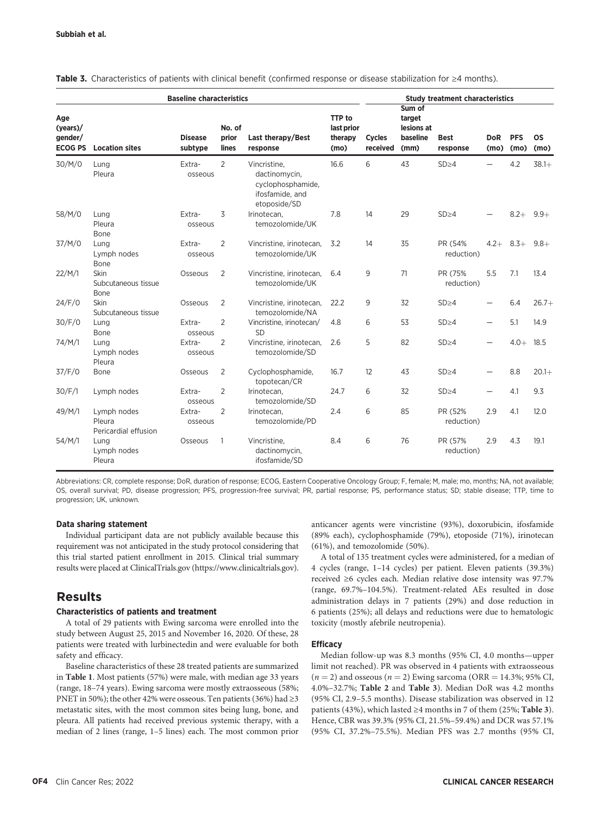|                                             | <b>Baseline characteristics</b>               |                           |                          |                                                                                       |                                                | <b>Study treatment characteristics</b> |                                                    |                         |                    |                    |                   |
|---------------------------------------------|-----------------------------------------------|---------------------------|--------------------------|---------------------------------------------------------------------------------------|------------------------------------------------|----------------------------------------|----------------------------------------------------|-------------------------|--------------------|--------------------|-------------------|
| Age<br>(years)<br>gender/<br><b>ECOG PS</b> | <b>Location sites</b>                         | <b>Disease</b><br>subtype | No. of<br>prior<br>lines | Last therapy/Best<br>response                                                         | <b>TTP</b> to<br>last prior<br>therapy<br>(mo) | <b>Cycles</b><br>received              | Sum of<br>target<br>lesions at<br>baseline<br>(mm) | <b>Best</b><br>response | <b>DoR</b><br>(mo) | <b>PFS</b><br>(mo) | <b>OS</b><br>(mo) |
| 30/M/0                                      | Lung<br>Pleura                                | Extra-<br>osseous         | $\overline{2}$           | Vincristine,<br>dactinomycin,<br>cyclophosphamide,<br>ifosfamide, and<br>etoposide/SD | 16.6                                           | 6                                      | 43                                                 | SD>4                    |                    | 4.2                | $38.1+$           |
| 58/M/0                                      | Lung<br>Pleura<br>Bone                        | Extra-<br>osseous         | 3                        | Irinotecan.<br>temozolomide/UK                                                        | 7.8                                            | 14                                     | 29                                                 | $SD \geq 4$             |                    | $8.2+$             | $9.9+$            |
| 37/M/0                                      | Lung<br>Lymph nodes<br>Bone                   | Extra-<br>osseous         | $\overline{2}$           | Vincristine, irinotecan,<br>temozolomide/UK                                           | 3.2                                            | 14                                     | 35                                                 | PR (54%<br>reduction)   | $4.2+$             | $8.3+$             | $9.8+$            |
| 22/M/1                                      | Skin<br>Subcutaneous tissue<br>Bone           | Osseous                   | $\overline{2}$           | Vincristine, irinotecan,<br>temozolomide/UK                                           | 6.4                                            | 9                                      | 71                                                 | PR (75%<br>reduction)   | 5.5                | 7.1                | 13.4              |
| 24/F/0                                      | Skin<br>Subcutaneous tissue                   | Osseous                   | 2                        | Vincristine, irinotecan,<br>temozolomide/NA                                           | 22.2                                           | 9                                      | 32                                                 | SD>4                    |                    | 6.4                | $26.7+$           |
| 30/F/0                                      | Lung<br>Bone                                  | Extra-<br>osseous         | $\overline{2}$           | Vincristine. irinotecan/<br><b>SD</b>                                                 | 4.8                                            | 6                                      | 53                                                 | $SD \geq 4$             |                    | 5.1                | 14.9              |
| 74/M/1                                      | Lung<br>Lymph nodes<br>Pleura                 | Extra-<br>osseous         | 2                        | Vincristine, irinotecan,<br>temozolomide/SD                                           | 2.6                                            | 5                                      | 82                                                 | $SD \geq 4$             |                    | $4.0+$             | 18.5              |
| 37/F/0                                      | Bone                                          | Osseous                   | 2                        | Cyclophosphamide,<br>topotecan/CR                                                     | 16.7                                           | 12                                     | 43                                                 | $SD \geq 4$             |                    | 8.8                | $20.1+$           |
| 30/F/1                                      | Lymph nodes                                   | Extra-<br>osseous         | $\overline{2}$           | Irinotecan,<br>temozolomide/SD                                                        | 24.7                                           | 6                                      | 32                                                 | $SD \geq 4$             |                    | 4.1                | 9.3               |
| 49/M/1                                      | Lymph nodes<br>Pleura<br>Pericardial effusion | Extra-<br>osseous         | $\overline{2}$           | Irinotecan,<br>temozolomide/PD                                                        | 2.4                                            | 6                                      | 85                                                 | PR (52%<br>reduction)   | 2.9                | 4.1                | 12.0              |
| 54/M/1                                      | Lung<br>Lymph nodes<br>Pleura                 | Osseous                   | 1                        | Vincristine,<br>dactinomycin,<br>ifosfamide/SD                                        | 8.4                                            | 6                                      | 76                                                 | PR (57%<br>reduction)   | 2.9                | 4.3                | 19.1              |

Table 3. Characteristics of patients with clinical benefit (confirmed response or disease stabilization for ≥4 months).

Abbreviations: CR, complete response; DoR, duration of response; ECOG, Eastern Cooperative Oncology Group; F, female; M, male; mo, months; NA, not available; OS, overall survival; PD, disease progression; PFS, progression-free survival; PR, partial response; PS, performance status; SD; stable disease; TTP, time to progression; UK, unknown.

## Data sharing statement

Individual participant data are not publicly available because this requirement was not anticipated in the study protocol considering that this trial started patient enrollment in 2015. Clinical trial summary results were placed at ClinicalTrials.gov [\(https://www.clinicaltrials.gov](https://www.clinicaltrials.gov)).

# Results

# Characteristics of patients and treatment

A total of 29 patients with Ewing sarcoma were enrolled into the study between August 25, 2015 and November 16, 2020. Of these, 28 patients were treated with lurbinectedin and were evaluable for both safety and efficacy.

Baseline characteristics of these 28 treated patients are summarized in Table 1. Most patients (57%) were male, with median age 33 years (range, 18–74 years). Ewing sarcoma were mostly extraosseous (58%; PNET in 50%); the other 42% were osseous. Ten patients (36%) had  $\geq$ 3 metastatic sites, with the most common sites being lung, bone, and pleura. All patients had received previous systemic therapy, with a median of 2 lines (range, 1–5 lines) each. The most common prior anticancer agents were vincristine (93%), doxorubicin, ifosfamide (89% each), cyclophosphamide (79%), etoposide (71%), irinotecan (61%), and temozolomide (50%).

A total of 135 treatment cycles were administered, for a median of 4 cycles (range, 1–14 cycles) per patient. Eleven patients (39.3%) received ≥6 cycles each. Median relative dose intensity was 97.7% (range, 69.7%–104.5%). Treatment-related AEs resulted in dose administration delays in 7 patients (29%) and dose reduction in 6 patients (25%); all delays and reductions were due to hematologic toxicity (mostly afebrile neutropenia).

# **Efficacy**

Median follow-up was 8.3 months (95% CI, 4.0 months—upper limit not reached). PR was observed in 4 patients with extraosseous  $(n = 2)$  and osseous  $(n = 2)$  Ewing sarcoma (ORR = 14.3%; 95% CI, 4.0%–32.7%; Table 2 and Table 3). Median DoR was 4.2 months (95% CI, 2.9–5.5 months). Disease stabilization was observed in 12 patients (43%), which lasted  $\geq$ 4 months in 7 of them (25%; Table 3). Hence, CBR was 39.3% (95% CI, 21.5%–59.4%) and DCR was 57.1% (95% CI, 37.2%–75.5%). Median PFS was 2.7 months (95% CI,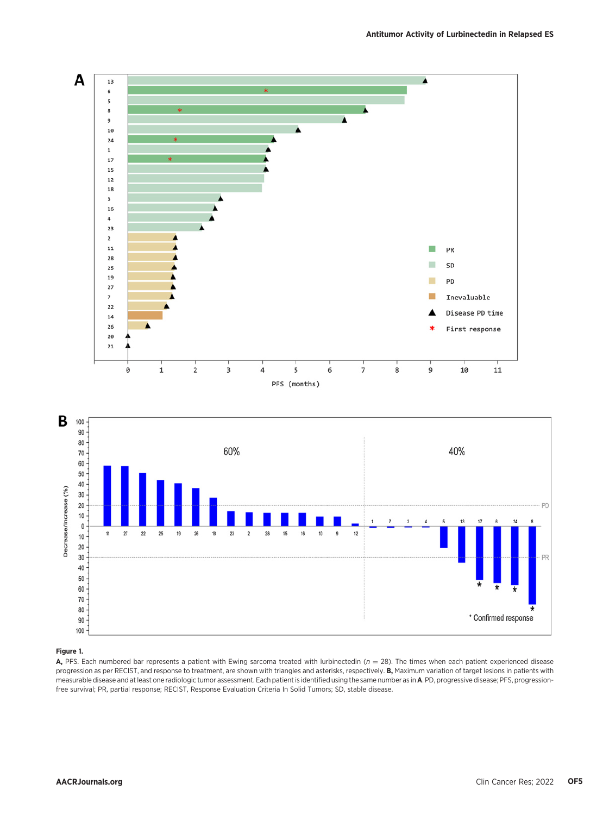

## Figure 1.

A, PFS. Each numbered bar represents a patient with Ewing sarcoma treated with lurbinectedin ( $n = 28$ ). The times when each patient experienced disease progression as per RECIST, and response to treatment, are shown with triangles and asterisks, respectively. B, Maximum variation of target lesions in patients with measurable disease and at least one radiologic tumor assessment. Each patient is identified using the same number as inA. PD, progressive disease; PFS, progressionfree survival; PR, partial response; RECIST, Response Evaluation Criteria In Solid Tumors; SD, stable disease.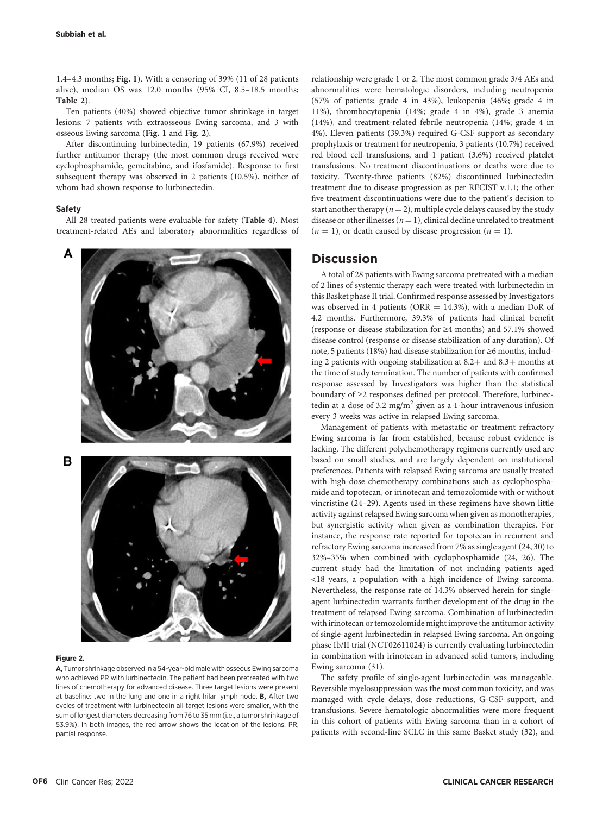1.4–4.3 months; Fig. 1). With a censoring of 39% (11 of 28 patients alive), median OS was 12.0 months (95% CI, 8.5–18.5 months; Table 2).

Ten patients (40%) showed objective tumor shrinkage in target lesions: 7 patients with extraosseous Ewing sarcoma, and 3 with osseous Ewing sarcoma (Fig. 1 and Fig. 2).

After discontinuing lurbinectedin, 19 patients (67.9%) received further antitumor therapy (the most common drugs received were cyclophosphamide, gemcitabine, and ifosfamide). Response to first subsequent therapy was observed in 2 patients (10.5%), neither of whom had shown response to lurbinectedin.

## Safety

All 28 treated patients were evaluable for safety (Table 4). Most treatment-related AEs and laboratory abnormalities regardless of



#### Figure 2.

A, Tumor shrinkage observed in a 54-year-old male with osseous Ewing sarcoma who achieved PR with lurbinectedin. The patient had been pretreated with two lines of chemotherapy for advanced disease. Three target lesions were present at baseline: two in the lung and one in a right hilar lymph node. B, After two cycles of treatment with lurbinectedin all target lesions were smaller, with the sum of longest diameters decreasing from 76 to 35 mm (i.e., a tumor shrinkage of 53.9%). In both images, the red arrow shows the location of the lesions. PR, partial response.

relationship were grade 1 or 2. The most common grade 3/4 AEs and abnormalities were hematologic disorders, including neutropenia (57% of patients; grade 4 in 43%), leukopenia (46%; grade 4 in 11%), thrombocytopenia (14%; grade 4 in 4%), grade 3 anemia (14%), and treatment-related febrile neutropenia (14%; grade 4 in 4%). Eleven patients (39.3%) required G-CSF support as secondary prophylaxis or treatment for neutropenia, 3 patients (10.7%) received red blood cell transfusions, and 1 patient (3.6%) received platelet transfusions. No treatment discontinuations or deaths were due to toxicity. Twenty-three patients (82%) discontinued lurbinectedin treatment due to disease progression as per RECIST v.1.1; the other five treatment discontinuations were due to the patient's decision to start another therapy ( $n = 2$ ), multiple cycle delays caused by the study disease or other illnesses ( $n=1$ ), clinical decline unrelated to treatment  $(n = 1)$ , or death caused by disease progression  $(n = 1)$ .

# **Discussion**

A total of 28 patients with Ewing sarcoma pretreated with a median of 2 lines of systemic therapy each were treated with lurbinectedin in this Basket phase II trial. Confirmed response assessed by Investigators was observed in 4 patients (ORR  $=$  14.3%), with a median DoR of 4.2 months. Furthermore, 39.3% of patients had clinical benefit (response or disease stabilization for ≥4 months) and 57.1% showed disease control (response or disease stabilization of any duration). Of note, 5 patients (18%) had disease stabilization for ≥6 months, including 2 patients with ongoing stabilization at  $8.2 +$  and  $8.3 +$  months at the time of study termination. The number of patients with confirmed response assessed by Investigators was higher than the statistical boundary of ≥2 responses defined per protocol. Therefore, lurbinectedin at a dose of 3.2 mg/m<sup>2</sup> given as a 1-hour intravenous infusion every 3 weeks was active in relapsed Ewing sarcoma.

Management of patients with metastatic or treatment refractory Ewing sarcoma is far from established, because robust evidence is lacking. The different polychemotherapy regimens currently used are based on small studies, and are largely dependent on institutional preferences. Patients with relapsed Ewing sarcoma are usually treated with high-dose chemotherapy combinations such as cyclophosphamide and topotecan, or irinotecan and temozolomide with or without vincristine (24–29). Agents used in these regimens have shown little activity against relapsed Ewing sarcoma when given as monotherapies, but synergistic activity when given as combination therapies. For instance, the response rate reported for topotecan in recurrent and refractory Ewing sarcoma increased from 7% as single agent (24, 30) to 32%–35% when combined with cyclophosphamide (24, 26). The current study had the limitation of not including patients aged <18 years, a population with a high incidence of Ewing sarcoma. Nevertheless, the response rate of 14.3% observed herein for singleagent lurbinectedin warrants further development of the drug in the treatment of relapsed Ewing sarcoma. Combination of lurbinectedin with irinotecan or temozolomide might improve the antitumor activity of single-agent lurbinectedin in relapsed Ewing sarcoma. An ongoing phase Ib/II trial (NCT02611024) is currently evaluating lurbinectedin in combination with irinotecan in advanced solid tumors, including Ewing sarcoma (31).

The safety profile of single-agent lurbinectedin was manageable. Reversible myelosuppression was the most common toxicity, and was managed with cycle delays, dose reductions, G-CSF support, and transfusions. Severe hematologic abnormalities were more frequent in this cohort of patients with Ewing sarcoma than in a cohort of patients with second-line SCLC in this same Basket study (32), and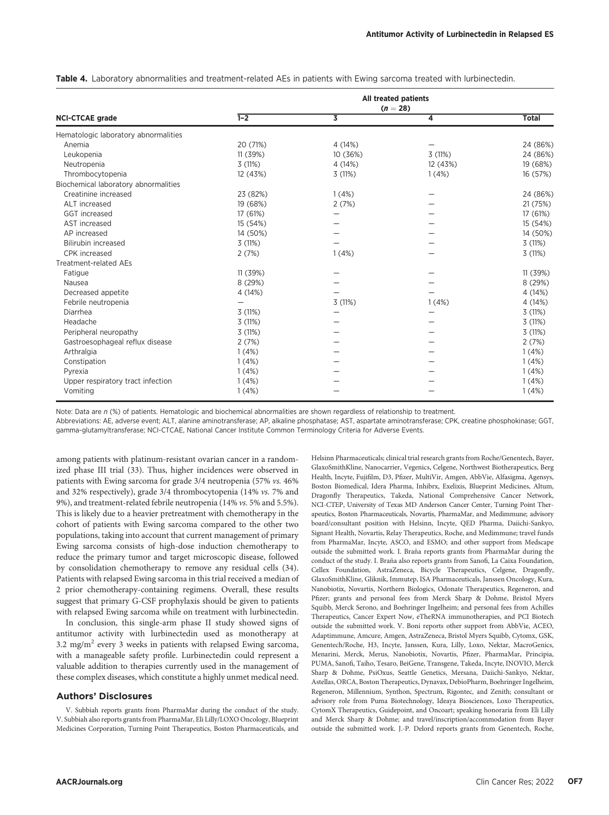|                                      | All treated patients<br>$(n = 28)$ |          |          |              |  |  |  |
|--------------------------------------|------------------------------------|----------|----------|--------------|--|--|--|
| <b>NCI-CTCAE grade</b>               | $1-2$                              | 3        | 4        | <b>Total</b> |  |  |  |
| Hematologic laboratory abnormalities |                                    |          |          |              |  |  |  |
| Anemia                               | 20 (71%)                           | 4 (14%)  |          | 24 (86%)     |  |  |  |
| Leukopenia                           | 11 (39%)                           | 10 (36%) | 3(11%)   | 24 (86%)     |  |  |  |
| Neutropenia                          | 3(11%)                             | 4 (14%)  | 12 (43%) | 19 (68%)     |  |  |  |
| Thrombocytopenia                     | 12 (43%)                           | 3(11%)   | 1(4%)    | 16 (57%)     |  |  |  |
| Biochemical laboratory abnormalities |                                    |          |          |              |  |  |  |
| Creatinine increased                 | 23 (82%)                           | 1(4%)    |          | 24 (86%)     |  |  |  |
| ALT increased                        | 19 (68%)                           | 2(7%)    |          | 21 (75%)     |  |  |  |
| GGT increased                        | 17 (61%)                           | -        |          | 17 (61%)     |  |  |  |
| AST increased                        | 15 (54%)                           |          |          | 15 (54%)     |  |  |  |
| AP increased                         | 14 (50%)                           |          |          | 14 (50%)     |  |  |  |
| Bilirubin increased                  | 3(11%)                             |          |          | 3(11%)       |  |  |  |
| CPK increased                        | 2(7%)                              | 1(4%)    |          | 3(11%)       |  |  |  |
| <b>Treatment-related AEs</b>         |                                    |          |          |              |  |  |  |
| Fatigue                              | 11 (39%)                           |          |          | 11 (39%)     |  |  |  |
| Nausea                               | 8 (29%)                            |          |          | 8 (29%)      |  |  |  |
| Decreased appetite                   | 4 (14%)                            |          |          | 4 (14%)      |  |  |  |
| Febrile neutropenia                  |                                    | 3(11%)   | 1(4%)    | 4 (14%)      |  |  |  |
| Diarrhea                             | 3(11%)                             |          |          | 3(11%)       |  |  |  |
| Headache                             | 3(11%)                             |          |          | 3(11%)       |  |  |  |
| Peripheral neuropathy                | 3(11%)                             |          |          | 3 (11%)      |  |  |  |
| Gastroesophageal reflux disease      | 2(7%)                              |          |          | 2(7%)        |  |  |  |
| Arthralgia                           | 1(4%)                              |          |          | 1(4%)        |  |  |  |
| Constipation                         | 1(4%)                              |          |          | 1(4%)        |  |  |  |
| Pyrexia                              | 1(4%)                              |          |          | 1(4%)        |  |  |  |
| Upper respiratory tract infection    | 1(4%)                              |          |          | 1(4%)        |  |  |  |
| Vomiting                             | 1(4%)                              |          |          | 1(4%)        |  |  |  |

Table 4. Laboratory abnormalities and treatment-related AEs in patients with Ewing sarcoma treated with lurbinectedin.

Note: Data are  $n$  (%) of patients. Hematologic and biochemical abnormalities are shown regardless of relationship to treatment.

Abbreviations: AE, adverse event; ALT, alanine aminotransferase; AP, alkaline phosphatase; AST, aspartate aminotransferase; CPK, creatine phosphokinase; GGT, gamma-glutamyltransferase; NCI-CTCAE, National Cancer Institute Common Terminology Criteria for Adverse Events.

among patients with platinum-resistant ovarian cancer in a randomized phase III trial (33). Thus, higher incidences were observed in patients with Ewing sarcoma for grade 3/4 neutropenia (57% vs. 46% and 32% respectively), grade 3/4 thrombocytopenia (14% vs. 7% and 9%), and treatment-related febrile neutropenia (14% vs. 5% and 5.5%). This is likely due to a heavier pretreatment with chemotherapy in the cohort of patients with Ewing sarcoma compared to the other two populations, taking into account that current management of primary Ewing sarcoma consists of high-dose induction chemotherapy to reduce the primary tumor and target microscopic disease, followed by consolidation chemotherapy to remove any residual cells (34). Patients with relapsed Ewing sarcoma in this trial received a median of 2 prior chemotherapy-containing regimens. Overall, these results suggest that primary G-CSF prophylaxis should be given to patients with relapsed Ewing sarcoma while on treatment with lurbinectedin.

In conclusion, this single-arm phase II study showed signs of antitumor activity with lurbinectedin used as monotherapy at 3.2 mg/m<sup>2</sup> every 3 weeks in patients with relapsed Ewing sarcoma, with a manageable safety profile. Lurbinectedin could represent a valuable addition to therapies currently used in the management of these complex diseases, which constitute a highly unmet medical need.

## Authors' Disclosures

V. Subbiah reports grants from PharmaMar during the conduct of the study. V. Subbiah also reports grants from PharmaMar, Eli Lilly/LOXO Oncology, Blueprint Medicines Corporation, Turning Point Therapeutics, Boston Pharmaceuticals, and Helsinn Pharmaceuticals; clinical trial research grants from Roche/Genentech, Bayer, GlaxoSmithKline, Nanocarrier, Vegenics, Celgene, Northwest Biotherapeutics, Berg Health, Incyte, Fujifilm, D3, Pfizer, MultiVir, Amgen, AbbVie, Alfasigma, Agensys, Boston Biomedical, Idera Pharma, Inhibrx, Exelixis, Blueprint Medicines, Altum, Dragonfly Therapeutics, Takeda, National Comprehensive Cancer Network, NCI-CTEP, University of Texas MD Anderson Cancer Center, Turning Point Therapeutics, Boston Pharmaceuticals, Novartis, PharmaMar, and Medimmune; advisory board/consultant position with Helsinn, Incyte, QED Pharma, Daiichi-Sankyo, Signant Health, Novartis, Relay Therapeutics, Roche, and Medimmune; travel funds from PharmaMar, Incyte, ASCO, and ESMO; and other support from Medscape outside the submitted work. I. Braña reports grants from PharmaMar during the conduct of the study. I. Braña also reports grants from Sanofi, La Caixa Foundation, Cellex Foundation, AstraZeneca, Bicycle Therapeutics, Celgene, Dragonfly, GlaxoSmithKline, Gliknik, Immutep, ISA Pharmaceuticals, Janssen Oncology, Kura, Nanobiotix, Novartis, Northern Biologics, Odonate Therapeutics, Regeneron, and Pfizer; grants and personal fees from Merck Sharp & Dohme, Bristol Myers Squibb, Merck Serono, and Boehringer Ingelheim; and personal fees from Achilles Therapeutics, Cancer Expert Now, eTheRNA immunotherapies, and PCI Biotech outside the submitted work. V. Boni reports other support from AbbVie, ACEO, Adaptimmune, Amcure, Amgen, AstraZeneca, Bristol Myers Squibb, Cytomx, GSK, Genentech/Roche, H3, Incyte, Janssen, Kura, Lilly, Loxo, Nektar, MacroGenics, Menarini, Merck, Merus, Nanobiotix, Novartis, Pfizer, PharmaMar, Principia, PUMA, Sanofi, Taiho, Tesaro, BeiGene, Transgene, Takeda, Incyte, INOVIO, Merck Sharp & Dohme, PsiOxus, Seattle Genetics, Mersana, Daiichi-Sankyo, Nektar, Astellas, ORCA, Boston Therapeutics, Dynavax, DebioPharm, Boehringer Ingelheim, Regeneron, Millennium, Synthon, Spectrum, Rigontec, and Zenith; consultant or advisory role from Puma Biotechnology, Ideaya Biosciences, Loxo Therapeutics, CytomX Therapeutics, Guidepoint, and Oncoart; speaking honoraria from Eli Lilly and Merck Sharp & Dohme; and travel/inscription/accommodation from Bayer outside the submitted work. J.-P. Delord reports grants from Genentech, Roche,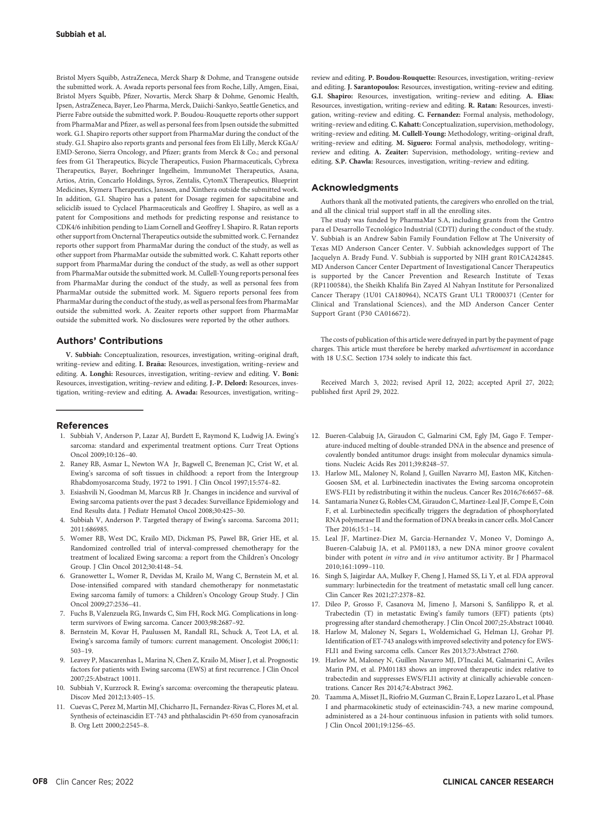Bristol Myers Squibb, AstraZeneca, Merck Sharp & Dohme, and Transgene outside the submitted work. A. Awada reports personal fees from Roche, Lilly, Amgen, Eisai, Bristol Myers Squibb, Pfizer, Novartis, Merck Sharp & Dohme, Genomic Health, Ipsen, AstraZeneca, Bayer, Leo Pharma, Merck, Daiichi-Sankyo, Seattle Genetics, and Pierre Fabre outside the submitted work. P. Boudou-Rouquette reports other support from PharmaMar and Pfizer, as well as personal fees from Ipsen outside the submitted work. G.I. Shapiro reports other support from PharmaMar during the conduct of the study. G.I. Shapiro also reports grants and personal fees from Eli Lilly, Merck KGaA/ EMD-Serono, Sierra Oncology, and Pfizer; grants from Merck & Co.; and personal fees from G1 Therapeutics, Bicycle Therapeutics, Fusion Pharmaceuticals, Cybrexa Therapeutics, Bayer, Boehringer Ingelheim, ImmunoMet Therapeutics, Asana, Artios, Atrin, Concarlo Holdings, Syros, Zentalis, CytomX Therapeutics, Blueprint Medicines, Kymera Therapeutics, Janssen, and Xinthera outside the submitted work. In addition, G.I. Shapiro has a patent for Dosage regimen for sapacitabine and seliciclib issued to Cyclacel Pharmaceuticals and Geoffrey I. Shapiro, as well as a patent for Compositions and methods for predicting response and resistance to CDK4/6 inhibition pending to Liam Cornell and Geoffrey I. Shapiro. R. Ratan reports other support from Oncternal Therapeutics outside the submitted work. C. Fernandez reports other support from PharmaMar during the conduct of the study, as well as other support from PharmaMar outside the submitted work. C. Kahatt reports other support from PharmaMar during the conduct of the study, as well as other support from PharmaMar outside the submitted work. M. Cullell-Young reports personal fees from PharmaMar during the conduct of the study, as well as personal fees from PharmaMar outside the submitted work. M. Siguero reports personal fees from PharmaMar during the conduct of the study, as well as personal fees from PharmaMar outside the submitted work. A. Zeaiter reports other support from PharmaMar outside the submitted work. No disclosures were reported by the other authors.

## Authors' Contributions

V. Subbiah: Conceptualization, resources, investigation, writing–original draft, writing–review and editing. I. Braña: Resources, investigation, writing–review and editing. A. Longhi: Resources, investigation, writing–review and editing. V. Boni: Resources, investigation, writing–review and editing. J.-P. Delord: Resources, investigation, writing–review and editing. A. Awada: Resources, investigation, writing–

#### References

- 1. Subbiah V, Anderson P, Lazar AJ, Burdett E, Raymond K, Ludwig JA. Ewing's sarcoma: standard and experimental treatment options. Curr Treat Options Oncol 2009;10:126–40.
- 2. Raney RB, Asmar L, Newton WA Jr, Bagwell C, Breneman JC, Crist W, et al. Ewing's sarcoma of soft tissues in childhood: a report from the Intergroup Rhabdomyosarcoma Study, 1972 to 1991. J Clin Oncol 1997;15:574–82.
- 3. Esiashvili N, Goodman M, Marcus RB Jr. Changes in incidence and survival of Ewing sarcoma patients over the past 3 decades: Surveillance Epidemiology and End Results data. J Pediatr Hematol Oncol 2008;30:425–30.
- 4. Subbiah V, Anderson P. Targeted therapy of Ewing's sarcoma. Sarcoma 2011; 2011:686985.
- 5. Womer RB, West DC, Krailo MD, Dickman PS, Pawel BR, Grier HE, et al. Randomized controlled trial of interval-compressed chemotherapy for the treatment of localized Ewing sarcoma: a report from the Children's Oncology Group. J Clin Oncol 2012;30:4148–54.
- 6. Granowetter L, Womer R, Devidas M, Krailo M, Wang C, Bernstein M, et al. Dose-intensified compared with standard chemotherapy for nonmetastatic Ewing sarcoma family of tumors: a Children's Oncology Group Study. J Clin Oncol 2009;27:2536–41.
- 7. Fuchs B, Valenzuela RG, Inwards C, Sim FH, Rock MG. Complications in longterm survivors of Ewing sarcoma. Cancer 2003;98:2687–92.
- 8. Bernstein M, Kovar H, Paulussen M, Randall RL, Schuck A, Teot LA, et al. Ewing's sarcoma family of tumors: current management. Oncologist 2006;11: 503–19.
- 9. Leavey P, Mascarenhas L, Marina N, Chen Z, Krailo M, Miser J, et al. Prognostic factors for patients with Ewing sarcoma (EWS) at first recurrence. J Clin Oncol 2007;25:Abstract 10011.
- 10. Subbiah V, Kurzrock R. Ewing's sarcoma: overcoming the therapeutic plateau. Discov Med 2012;13:405–15.
- 11. Cuevas C, Perez M, Martin MJ, Chicharro JL, Fernandez-Rivas C, Flores M, et al. Synthesis of ecteinascidin ET-743 and phthalascidin Pt-650 from cyanosafracin B. Org Lett 2000;2:2545–8.

review and editing. P. Boudou-Rouquette: Resources, investigation, writing–review and editing. J. Sarantopoulos: Resources, investigation, writing–review and editing. G.I. Shapiro: Resources, investigation, writing–review and editing. A. Elias: Resources, investigation, writing–review and editing. R. Ratan: Resources, investigation, writing–review and editing. C. Fernandez: Formal analysis, methodology, writing–review and editing. C. Kahatt: Conceptualization, supervision, methodology, writing–review and editing. M. Cullell-Young: Methodology, writing–original draft, writing–review and editing. M. Siguero: Formal analysis, methodology, writing– review and editing. A. Zeaiter: Supervision, methodology, writing–review and editing. S.P. Chawla: Resources, investigation, writing–review and editing.

## Acknowledgments

Authors thank all the motivated patients, the caregivers who enrolled on the trial, and all the clinical trial support staff in all the enrolling sites.

The study was funded by PharmaMar S.A, including grants from the Centro para el Desarrollo Tecnológico Industrial (CDTI) during the conduct of the study. V. Subbiah is an Andrew Sabin Family Foundation Fellow at The University of Texas MD Anderson Cancer Center. V. Subbiah acknowledges support of The Jacquelyn A. Brady Fund. V. Subbiah is supported by NIH grant R01CA242845. MD Anderson Cancer Center Department of Investigational Cancer Therapeutics is supported by the Cancer Prevention and Research Institute of Texas (RP1100584), the Sheikh Khalifa Bin Zayed Al Nahyan Institute for Personalized Cancer Therapy (1U01 CA180964), NCATS Grant UL1 TR000371 (Center for Clinical and Translational Sciences), and the MD Anderson Cancer Center Support Grant (P30 CA016672).

The costs of publication of this article were defrayed in part by the payment of page charges. This article must therefore be hereby marked advertisement in accordance with 18 U.S.C. Section 1734 solely to indicate this fact.

Received March 3, 2022; revised April 12, 2022; accepted April 27, 2022; published first April 29, 2022.

- 12. Bueren-Calabuig JA, Giraudon C, Galmarini CM, Egly JM, Gago F. Temperature-induced melting of double-stranded DNA in the absence and presence of covalently bonded antitumor drugs: insight from molecular dynamics simulations. Nucleic Acids Res 2011;39:8248–57.
- 13. Harlow ML, Maloney N, Roland J, Guillen Navarro MJ, Easton MK, Kitchen-Goosen SM, et al. Lurbinectedin inactivates the Ewing sarcoma oncoprotein EWS-FLI1 by redistributing it within the nucleus. Cancer Res 2016;76:6657–68.
- 14. Santamaria Nunez G, Robles CM, Giraudon C, Martinez-Leal JF, Compe E, Coin F, et al. Lurbinectedin specifically triggers the degradation of phosphorylated RNA polymerase II and the formation of DNA breaks in cancer cells. Mol Cancer Ther 2016;15:1–14.
- 15. Leal JF, Martinez-Diez M, Garcia-Hernandez V, Moneo V, Domingo A, Bueren-Calabuig JA, et al. PM01183, a new DNA minor groove covalent binder with potent in vitro and in vivo antitumor activity. Br J Pharmacol 2010;161:1099–110.
- 16. Singh S, Jaigirdar AA, Mulkey F, Cheng J, Hamed SS, Li Y, et al. FDA approval summary: lurbinectedin for the treatment of metastatic small cell lung cancer. Clin Cancer Res 2021;27:2378–82.
- 17. Dileo P, Grosso F, Casanova M, Jimeno J, Marsoni S, Sanfilippo R, et al. Trabectedin (T) in metastatic Ewing's family tumors (EFT) patients (pts) progressing after standard chemotherapy. J Clin Oncol 2007;25:Abstract 10040.
- 18. Harlow M, Maloney N, Segars L, Woldemichael G, Helman LJ, Grohar PJ. Identification of ET-743 analogs with improved selectivity and potency for EWS-FLI1 and Ewing sarcoma cells. Cancer Res 2013;73:Abstract 2760.
- 19. Harlow M, Maloney N, Guillen Navarro MJ, D'Incalci M, Galmarini C, Aviles Marin PM, et al. PM01183 shows an improved therapeutic index relative to trabectedin and suppresses EWS/FLI1 activity at clinically achievable concentrations. Cancer Res 2014;74:Abstract 3962.
- 20. Taamma A, Misset JL, Riofrio M, Guzman C, Brain E, Lopez Lazaro L, et al. Phase I and pharmacokinetic study of ecteinascidin-743, a new marine compound, administered as a 24-hour continuous infusion in patients with solid tumors. J Clin Oncol 2001;19:1256–65.